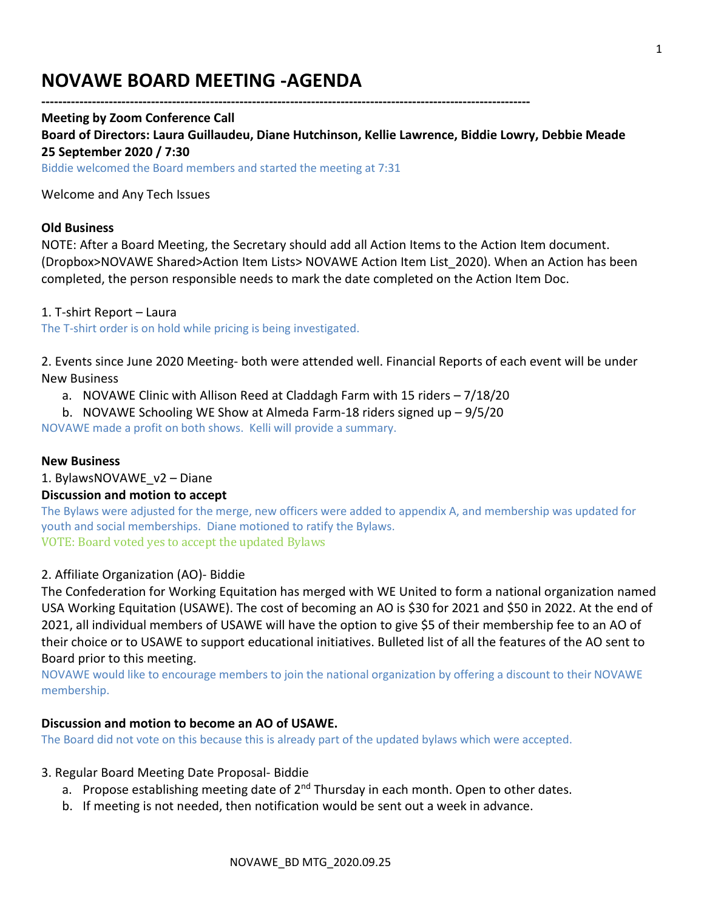# **NOVAWE BOARD MEETING -AGENDA**

## **Meeting by Zoom Conference Call**

**Board of Directors: Laura Guillaudeu, Diane Hutchinson, Kellie Lawrence, Biddie Lowry, Debbie Meade 25 September 2020 / 7:30**

**--------------------------------------------------------------------------------------------------------------------**

Biddie welcomed the Board members and started the meeting at 7:31

Welcome and Any Tech Issues

## **Old Business**

NOTE: After a Board Meeting, the Secretary should add all Action Items to the Action Item document. (Dropbox>NOVAWE Shared>Action Item Lists> NOVAWE Action Item List\_2020). When an Action has been completed, the person responsible needs to mark the date completed on the Action Item Doc.

1. T-shirt Report – Laura

The T-shirt order is on hold while pricing is being investigated.

2. Events since June 2020 Meeting- both were attended well. Financial Reports of each event will be under New Business

a. NOVAWE Clinic with Allison Reed at Claddagh Farm with 15 riders – 7/18/20

b. NOVAWE Schooling WE Show at Almeda Farm-18 riders signed up – 9/5/20

NOVAWE made a profit on both shows. Kelli will provide a summary.

## **New Business**

1. BylawsNOVAWE\_v2 – Diane

# **Discussion and motion to accept**

The Bylaws were adjusted for the merge, new officers were added to appendix A, and membership was updated for youth and social memberships. Diane motioned to ratify the Bylaws. VOTE: Board voted yes to accept the updated Bylaws

# 2. Affiliate Organization (AO)- Biddie

The Confederation for Working Equitation has merged with WE United to form a national organization named USA Working Equitation (USAWE). The cost of becoming an AO is \$30 for 2021 and \$50 in 2022. At the end of 2021, all individual members of USAWE will have the option to give \$5 of their membership fee to an AO of their choice or to USAWE to support educational initiatives. Bulleted list of all the features of the AO sent to Board prior to this meeting.

NOVAWE would like to encourage members to join the national organization by offering a discount to their NOVAWE membership.

# **Discussion and motion to become an AO of USAWE.**

The Board did not vote on this because this is already part of the updated bylaws which were accepted.

# 3. Regular Board Meeting Date Proposal- Biddie

- a. Propose establishing meeting date of 2<sup>nd</sup> Thursday in each month. Open to other dates.
- b. If meeting is not needed, then notification would be sent out a week in advance.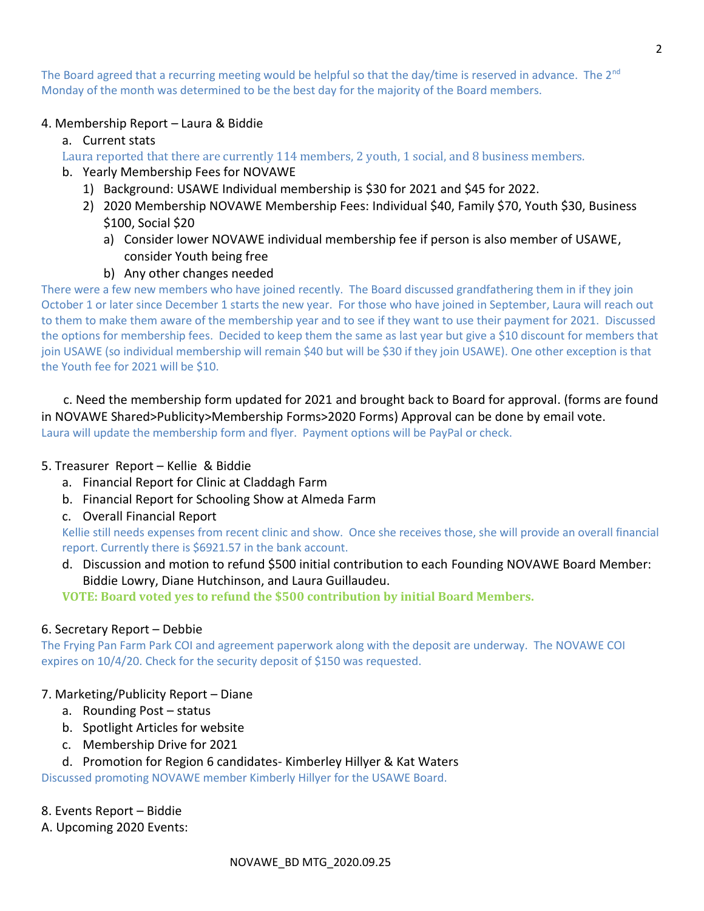The Board agreed that a recurring meeting would be helpful so that the day/time is reserved in advance. The  $2^{nd}$ Monday of the month was determined to be the best day for the majority of the Board members.

## 4. Membership Report – Laura & Biddie

### a. Current stats

Laura reported that there are currently 114 members, 2 youth, 1 social, and 8 business members.

- b. Yearly Membership Fees for NOVAWE
	- 1) Background: USAWE Individual membership is \$30 for 2021 and \$45 for 2022.
	- 2) 2020 Membership NOVAWE Membership Fees: Individual \$40, Family \$70, Youth \$30, Business \$100, Social \$20
		- a) Consider lower NOVAWE individual membership fee if person is also member of USAWE, consider Youth being free
		- b) Any other changes needed

There were a few new members who have joined recently. The Board discussed grandfathering them in if they join October 1 or later since December 1 starts the new year. For those who have joined in September, Laura will reach out to them to make them aware of the membership year and to see if they want to use their payment for 2021. Discussed the options for membership fees. Decided to keep them the same as last year but give a \$10 discount for members that join USAWE (so individual membership will remain \$40 but will be \$30 if they join USAWE). One other exception is that the Youth fee for 2021 will be \$10.

 c. Need the membership form updated for 2021 and brought back to Board for approval. (forms are found in NOVAWE Shared>Publicity>Membership Forms>2020 Forms) Approval can be done by email vote. Laura will update the membership form and flyer. Payment options will be PayPal or check.

### 5. Treasurer Report – Kellie & Biddie

- a. Financial Report for Clinic at Claddagh Farm
- b. Financial Report for Schooling Show at Almeda Farm
- c. Overall Financial Report

Kellie still needs expenses from recent clinic and show. Once she receives those, she will provide an overall financial report. Currently there is \$6921.57 in the bank account.

d. Discussion and motion to refund \$500 initial contribution to each Founding NOVAWE Board Member: Biddie Lowry, Diane Hutchinson, and Laura Guillaudeu.

**VOTE: Board voted yes to refund the \$500 contribution by initial Board Members.**

### 6. Secretary Report – Debbie

The Frying Pan Farm Park COI and agreement paperwork along with the deposit are underway. The NOVAWE COI expires on 10/4/20. Check for the security deposit of \$150 was requested.

### 7. Marketing/Publicity Report – Diane

- a. Rounding Post status
- b. Spotlight Articles for website
- c. Membership Drive for 2021
- d. Promotion for Region 6 candidates- Kimberley Hillyer & Kat Waters

Discussed promoting NOVAWE member Kimberly Hillyer for the USAWE Board.

- 8. Events Report Biddie
- A. Upcoming 2020 Events: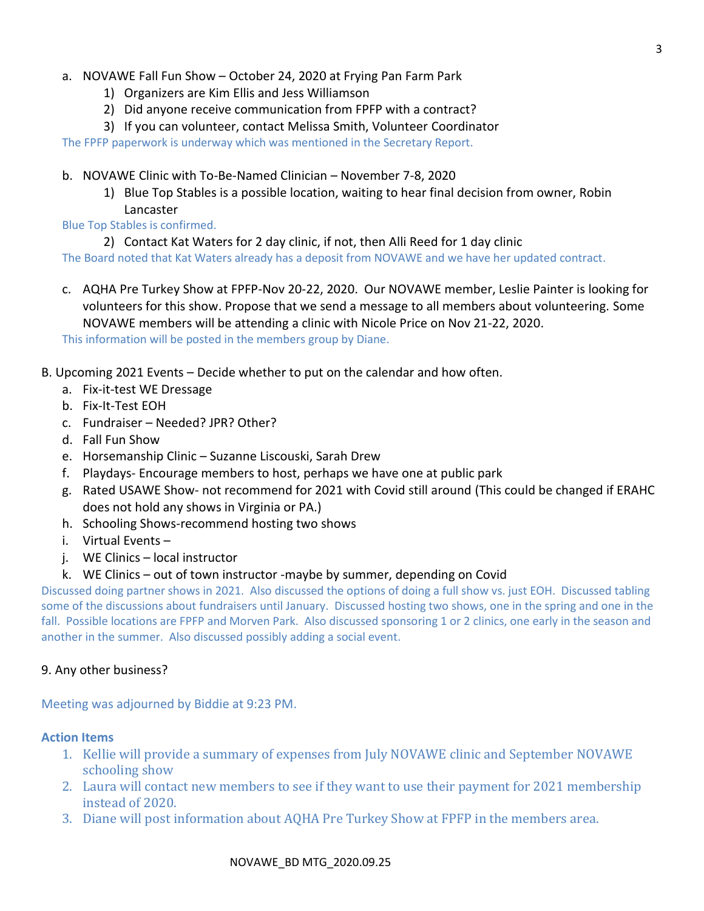# a. NOVAWE Fall Fun Show – October 24, 2020 at Frying Pan Farm Park

- 1) Organizers are Kim Ellis and Jess Williamson
- 2) Did anyone receive communication from FPFP with a contract?
- 3) If you can volunteer, contact Melissa Smith, Volunteer Coordinator

The FPFP paperwork is underway which was mentioned in the Secretary Report.

- b. NOVAWE Clinic with To-Be-Named Clinician November 7-8, 2020
	- 1) Blue Top Stables is a possible location, waiting to hear final decision from owner, Robin Lancaster
- Blue Top Stables is confirmed.

2) Contact Kat Waters for 2 day clinic, if not, then Alli Reed for 1 day clinic

The Board noted that Kat Waters already has a deposit from NOVAWE and we have her updated contract.

- c. AQHA Pre Turkey Show at FPFP-Nov 20-22, 2020. Our NOVAWE member, Leslie Painter is looking for volunteers for this show. Propose that we send a message to all members about volunteering. Some NOVAWE members will be attending a clinic with Nicole Price on Nov 21-22, 2020. This information will be posted in the members group by Diane.
- B. Upcoming 2021 Events Decide whether to put on the calendar and how often.
	- a. Fix-it-test WE Dressage
	- b. Fix-It-Test EOH
	- c. Fundraiser Needed? JPR? Other?
	- d. Fall Fun Show
	- e. Horsemanship Clinic Suzanne Liscouski, Sarah Drew
	- f. Playdays- Encourage members to host, perhaps we have one at public park
	- g. Rated USAWE Show- not recommend for 2021 with Covid still around (This could be changed if ERAHC does not hold any shows in Virginia or PA.)
	- h. Schooling Shows-recommend hosting two shows
	- i. Virtual Events –
	- j. WE Clinics local instructor
	- k. WE Clinics out of town instructor -maybe by summer, depending on Covid

Discussed doing partner shows in 2021. Also discussed the options of doing a full show vs. just EOH. Discussed tabling some of the discussions about fundraisers until January. Discussed hosting two shows, one in the spring and one in the fall. Possible locations are FPFP and Morven Park. Also discussed sponsoring 1 or 2 clinics, one early in the season and another in the summer. Also discussed possibly adding a social event.

# 9. Any other business?

Meeting was adjourned by Biddie at 9:23 PM.

# **Action Items**

- 1. Kellie will provide a summary of expenses from July NOVAWE clinic and September NOVAWE schooling show
- 2. Laura will contact new members to see if they want to use their payment for 2021 membership instead of 2020.
- 3. Diane will post information about AQHA Pre Turkey Show at FPFP in the members area.